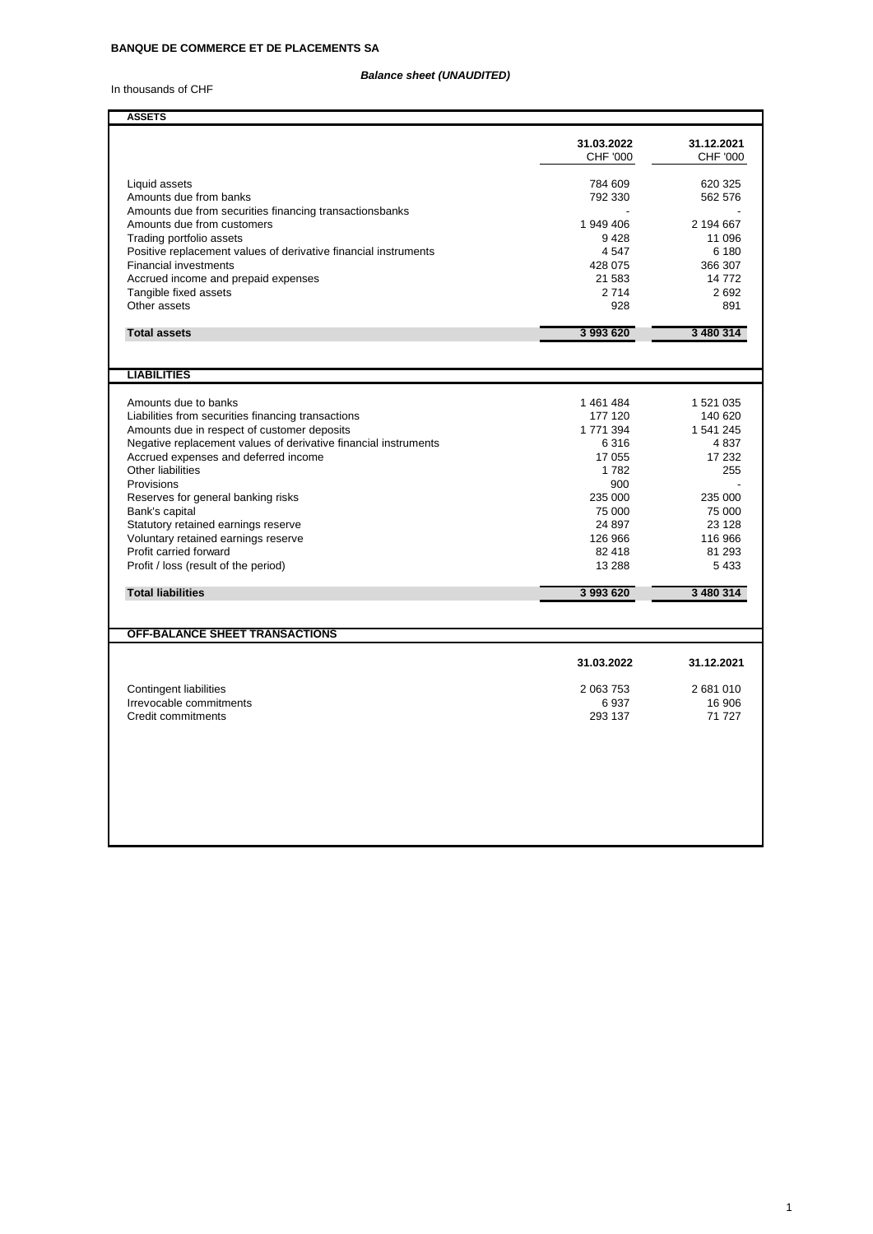## *Balance sheet (UNAUDITED)*

In thousands of CHF

| <b>ASSETS</b>                                                                                   |                               |                        |
|-------------------------------------------------------------------------------------------------|-------------------------------|------------------------|
|                                                                                                 | 31.03.2022<br><b>CHF '000</b> | 31.12.2021<br>CHF '000 |
| Liquid assets                                                                                   | 784 609                       | 620 325                |
| Amounts due from banks                                                                          | 792 330                       | 562 576                |
| Amounts due from securities financing transactionsbanks                                         |                               |                        |
| Amounts due from customers                                                                      | 1 949 406                     | 2 194 667              |
| Trading portfolio assets                                                                        | 9428<br>4547                  | 11 096<br>6 180        |
| Positive replacement values of derivative financial instruments<br><b>Financial investments</b> | 428 075                       | 366 307                |
| Accrued income and prepaid expenses                                                             | 21 583                        | 14 772                 |
| Tangible fixed assets                                                                           | 2714                          | 2692                   |
| Other assets                                                                                    | 928                           | 891                    |
|                                                                                                 |                               |                        |
| <b>Total assets</b>                                                                             | 3 993 620                     | 3 480 314              |
|                                                                                                 |                               |                        |
| <b>LIABILITIES</b>                                                                              |                               |                        |
|                                                                                                 |                               |                        |
| Amounts due to banks                                                                            | 1461484                       | 1 521 035              |
| Liabilities from securities financing transactions                                              | 177 120                       | 140 620                |
| Amounts due in respect of customer deposits                                                     | 1771394                       | 1 541 245              |
| Negative replacement values of derivative financial instruments                                 | 6316                          | 4837                   |
| Accrued expenses and deferred income                                                            | 17 055                        | 17 232                 |
| <b>Other liabilities</b>                                                                        | 1782                          | 255                    |
| Provisions                                                                                      | 900                           |                        |
| Reserves for general banking risks                                                              | 235 000                       | 235 000                |
| Bank's capital                                                                                  | 75 000                        | 75 000                 |
| Statutory retained earnings reserve                                                             | 24 897                        | 23 1 28                |
| Voluntary retained earnings reserve                                                             | 126 966                       | 116 966                |
| Profit carried forward                                                                          | 82 418<br>13 288              | 81 293<br>5 4 3 3      |
| Profit / loss (result of the period)                                                            |                               |                        |
| <b>Total liabilities</b>                                                                        | 3 993 620                     | 3 480 314              |
|                                                                                                 |                               |                        |
| <b>OFF-BALANCE SHEET TRANSACTIONS</b>                                                           |                               |                        |
|                                                                                                 |                               |                        |
|                                                                                                 | 31.03.2022                    | 31.12.2021             |
| <b>Contingent liabilities</b>                                                                   | 2 063 753                     | 2681010                |
| Irrevocable commitments                                                                         | 6937                          | 16 906                 |
| Credit commitments                                                                              | 293 137                       | 71 727                 |
|                                                                                                 |                               |                        |
|                                                                                                 |                               |                        |
|                                                                                                 |                               |                        |
|                                                                                                 |                               |                        |
|                                                                                                 |                               |                        |
|                                                                                                 |                               |                        |
|                                                                                                 |                               |                        |
|                                                                                                 |                               |                        |